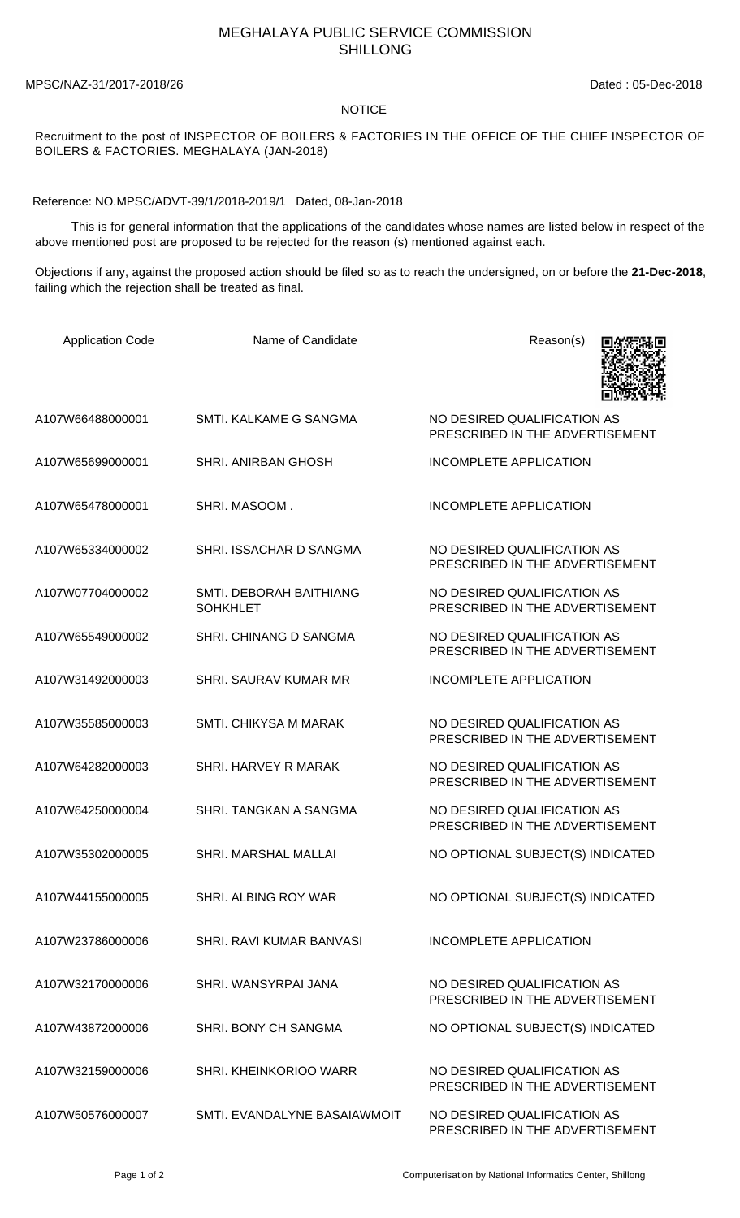## MEGHALAYA PUBLIC SERVICE COMMISSION SHILLONG

MPSC/NAZ-31/2017-2018/26 Dated : 05-Dec-2018

## NOTICE

Recruitment to the post of INSPECTOR OF BOILERS & FACTORIES IN THE OFFICE OF THE CHIEF INSPECTOR OF BOILERS & FACTORIES. MEGHALAYA (JAN-2018)

Reference: NO.MPSC/ADVT-39/1/2018-2019/1 Dated, 08-Jan-2018

 This is for general information that the applications of the candidates whose names are listed below in respect of the above mentioned post are proposed to be rejected for the reason (s) mentioned against each.

Objections if any, against the proposed action should be filed so as to reach the undersigned, on or before the **21-Dec-2018**, failing which the rejection shall be treated as final.

| <b>Application Code</b> | Name of Candidate                          | Reason(s)                                                      |
|-------------------------|--------------------------------------------|----------------------------------------------------------------|
| A107W66488000001        | SMTI, KALKAME G SANGMA                     | NO DESIRED QUALIFICATION AS<br>PRESCRIBED IN THE ADVERTISEMENT |
| A107W65699000001        | <b>SHRI. ANIRBAN GHOSH</b>                 | <b>INCOMPLETE APPLICATION</b>                                  |
| A107W65478000001        | SHRI. MASOOM.                              | <b>INCOMPLETE APPLICATION</b>                                  |
| A107W65334000002        | SHRI. ISSACHAR D SANGMA                    | NO DESIRED QUALIFICATION AS<br>PRESCRIBED IN THE ADVERTISEMENT |
| A107W07704000002        | SMTI. DEBORAH BAITHIANG<br><b>SOHKHLET</b> | NO DESIRED QUALIFICATION AS<br>PRESCRIBED IN THE ADVERTISEMENT |
| A107W65549000002        | <b>SHRI. CHINANG D SANGMA</b>              | NO DESIRED QUALIFICATION AS<br>PRESCRIBED IN THE ADVERTISEMENT |
| A107W31492000003        | <b>SHRI, SAURAV KUMAR MR</b>               | <b>INCOMPLETE APPLICATION</b>                                  |
| A107W35585000003        | <b>SMTI. CHIKYSA M MARAK</b>               | NO DESIRED QUALIFICATION AS<br>PRESCRIBED IN THE ADVERTISEMENT |
| A107W64282000003        | <b>SHRI. HARVEY R MARAK</b>                | NO DESIRED QUALIFICATION AS<br>PRESCRIBED IN THE ADVERTISEMENT |
| A107W64250000004        | SHRI. TANGKAN A SANGMA                     | NO DESIRED QUALIFICATION AS<br>PRESCRIBED IN THE ADVERTISEMENT |
| A107W35302000005        | <b>SHRI. MARSHAL MALLAI</b>                | NO OPTIONAL SUBJECT(S) INDICATED                               |
| A107W44155000005        | SHRI. ALBING ROY WAR                       | NO OPTIONAL SUBJECT(S) INDICATED                               |
| A107W23786000006        | SHRI. RAVI KUMAR BANVASI                   | <b>INCOMPLETE APPLICATION</b>                                  |
| A107W32170000006        | SHRI. WANSYRPAI JANA                       | NO DESIRED QUALIFICATION AS<br>PRESCRIBED IN THE ADVERTISEMENT |
| A107W43872000006        | SHRI. BONY CH SANGMA                       | NO OPTIONAL SUBJECT(S) INDICATED                               |
| A107W32159000006        | SHRI. KHEINKORIOO WARR                     | NO DESIRED QUALIFICATION AS<br>PRESCRIBED IN THE ADVERTISEMENT |
| A107W50576000007        | SMTI. EVANDALYNE BASAIAWMOIT               | NO DESIRED QUALIFICATION AS<br>PRESCRIBED IN THE ADVERTISEMENT |